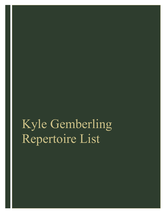Kyle Gemberling Repertoire List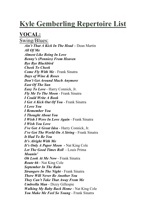# **Kyle Gemberling Repertoire List**

# **VOCAL:**

Swing/Blues: *Ain't That A Kick In The Head –* Dean Martin *All Of Me Almost Like Being In Love Benny's (Pennies) From Heaven Bye Bye Blackbird Cheek To Cheek Come Fly With Me -* Frank Sinatra *Days of Wine & Roses Don't Get Around Much Anymore East Of The Sun Easy To Love* - Harry Connick, Jr. *Fly Me To The Moon* - Frank Sinatra *I Could Write A Book I Get A Kick Out Of You* - Frank Sinatra *I Love You I Remember You I Thought About You I Wish I Were In Love Again* - Frank Sinatra *I Wish You Love I've Got A Great Idea* - Harry Connick, Jr. *I've Got The World On A String* - Frank Sinatra *It Had To Be You It's Alright With Me It's Only A Paper Moon -* Nat King Cole *Let The Good Times Roll* - Louis Prima *Moanin' Oh Look At Me Now* - Frank Sinatra *Route 66* - Nat King Cole *September In The Rain Strangers In The Night* - Frank Sinatra *There Will Never Be Another You They Can't Take That Away From Me Umbrella Man* - Dizzy Gillespie *Walking My Baby Back Home* - Nat King Cole *You Make Me Feel So Young* - Frank Sinatra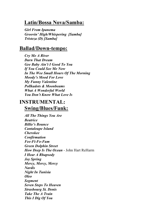## **Latin/Bossa Nova/Samba:**

*Girl From Ipanema Groovin' High/Whispering [Samba] Tristeza (D) [Samba]*

#### **Ballad/Down-tempo:**

*Cry Me A River Darn That Dream Gee Baby Ain't I Good To You If You Could See Me Now In The Wee Small Hours Of The Morning Moody's Mood For Love My Funny Valentine Pollkadots & Moonbeams What A Wonderful World You Don't Know What Love Is* 

## **INSTRUMENTAL: Swing/Blues/Funk:**

*All The Things You Are Beatrice Billie's Bounce Cantaloupe Island Cherokee Confirmation Fee-Fi-Fo-Fum Green Dolphin Street How Deep Is The Ocean* - John Hart ReHarm *I Hear A Rhapsody Joy Spring Mercy, Mercy, Mercy Nardis Night In Tunisia Oleo Segment Seven Steps To Heaven Strasbourg St. Denis Take The A Train This I Dig Of You*